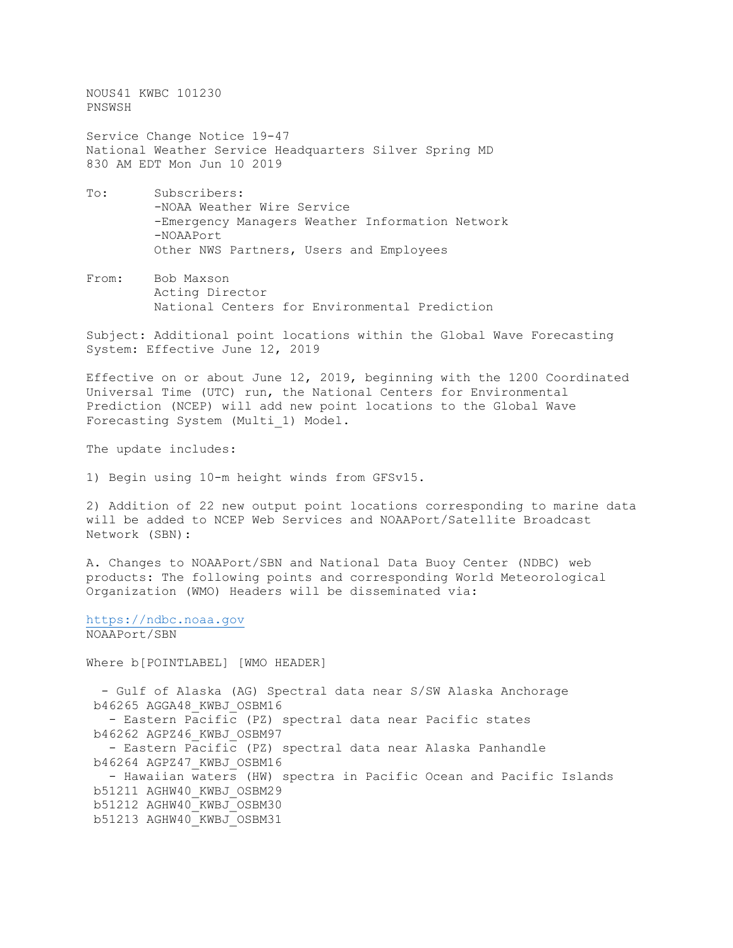NOUS41 KWBC 101230 PNSWSH

Service Change Notice 19-47 National Weather Service Headquarters Silver Spring MD 830 AM EDT Mon Jun 10 2019

- To: Subscribers: -NOAA Weather Wire Service -Emergency Managers Weather Information Network -NOAAPort Other NWS Partners, Users and Employees
- From: Bob Maxson Acting Director National Centers for Environmental Prediction

Subject: Additional point locations within the Global Wave Forecasting System: Effective June 12, 2019

Effective on or about June 12, 2019, beginning with the 1200 Coordinated Universal Time (UTC) run, the National Centers for Environmental Prediction (NCEP) will add new point locations to the Global Wave Forecasting System (Multi\_1) Model.

The update includes:

1) Begin using 10-m height winds from GFSv15.

2) Addition of 22 new output point locations corresponding to marine data will be added to NCEP Web Services and NOAAPort/Satellite Broadcast Network (SBN):

A. Changes to NOAAPort/SBN and National Data Buoy Center (NDBC) web products: The following points and corresponding World Meteorological Organization (WMO) Headers will be disseminated via:

[https://ndbc.noaa.gov](https://ndbc.noaa.gov/) NOAAPort/SBN

Where b[POINTLABEL] [WMO HEADER]

 - Gulf of Alaska (AG) Spectral data near S/SW Alaska Anchorage b46265 AGGA48\_KWBJ\_OSBM16 - Eastern Pacific (PZ) spectral data near Pacific states b46262 AGPZ46\_KWBJ\_OSBM97 - Eastern Pacific (PZ) spectral data near Alaska Panhandle b46264 AGPZ47\_KWBJ\_OSBM16 - Hawaiian waters (HW) spectra in Pacific Ocean and Pacific Islands b51211 AGHW40\_KWBJ\_OSBM29 b51212 AGHW40\_KWBJ\_OSBM30 b51213 AGHW40\_KWBJ\_OSBM31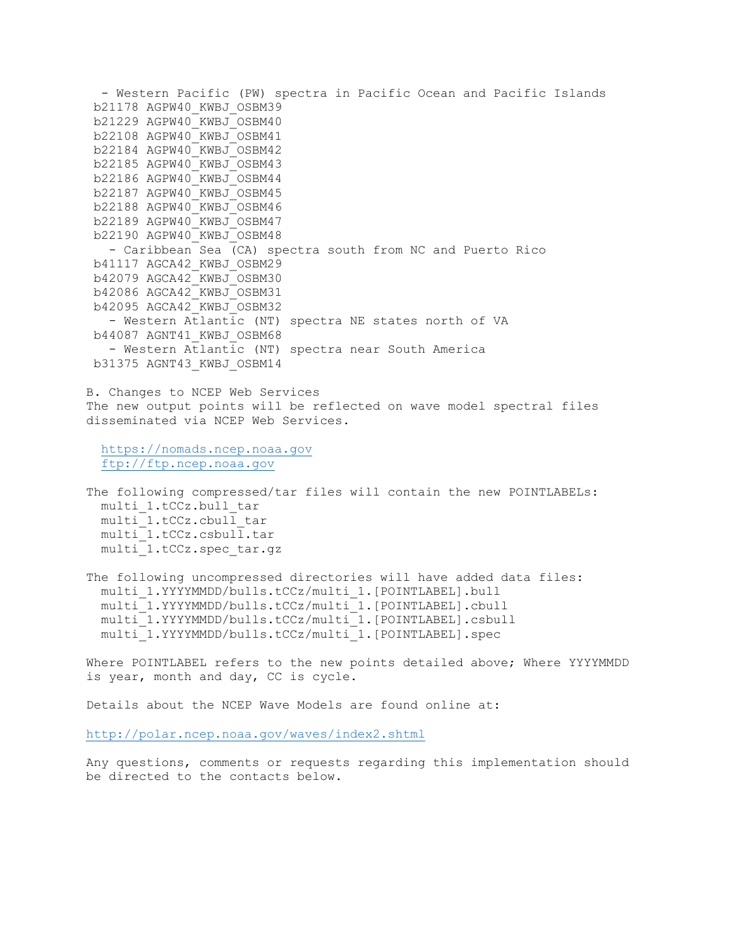- Western Pacific (PW) spectra in Pacific Ocean and Pacific Islands b21178 AGPW40\_KWBJ\_OSBM39 b21229 AGPW40\_KWBJ\_OSBM40 b22108 AGPW40\_KWBJ\_OSBM41 b22184 AGPW40\_KWBJ\_OSBM42 b22185 AGPW40\_KWBJ\_OSBM43 b22186 AGPW40\_KWBJ\_OSBM44 b22187 AGPW40\_KWBJ\_OSBM45 b22188 AGPW40\_KWBJ\_OSBM46 b22189 AGPW40\_KWBJ\_OSBM47 b22190 AGPW40\_KWBJ\_OSBM48 - Caribbean Sea (CA) spectra south from NC and Puerto Rico b41117 AGCA42\_KWBJ\_OSBM29 b42079 AGCA42\_KWBJ\_OSBM30 b42086 AGCA42\_KWBJ\_OSBM31 b42095 AGCA42\_KWBJ\_OSBM32 - Western Atlantic (NT) spectra NE states north of VA b44087 AGNT41\_KWBJ\_OSBM68 - Western Atlantic (NT) spectra near South America b31375 AGNT43\_KWBJ\_OSBM14 B. Changes to NCEP Web Services The new output points will be reflected on wave model spectral files disseminated via NCEP Web Services. [https://nomads.ncep.noaa.gov](https://nomads.ncep.noaa.gov/) [ftp://ftp.ncep.noaa.gov](ftp://ftp.ncep.noaa.gov/) The following compressed/tar files will contain the new POINTLABELs: multi\_1.tCCz.bull\_tar multi\_1.tCCz.cbull\_tar multi\_1.tCCz.csbull.tar multi\_1.tCCz.spec\_tar.gz The following uncompressed directories will have added data files: multi\_1.YYYYMMDD/bulls.tCCz/multi\_1.[POINTLABEL].bull multi\_1.YYYYMMDD/bulls.tCCz/multi\_1.[POINTLABEL].cbull multi\_1.YYYYMMDD/bulls.tCCz/multi\_1.[POINTLABEL].csbull multi\_1.YYYYMMDD/bulls.tCCz/multi\_1.[POINTLABEL].spec

Where POINTLABEL refers to the new points detailed above; Where YYYYMMDD is year, month and day, CC is cycle.

Details about the NCEP Wave Models are found online at:

<http://polar.ncep.noaa.gov/waves/index2.shtml>

Any questions, comments or requests regarding this implementation should be directed to the contacts below.